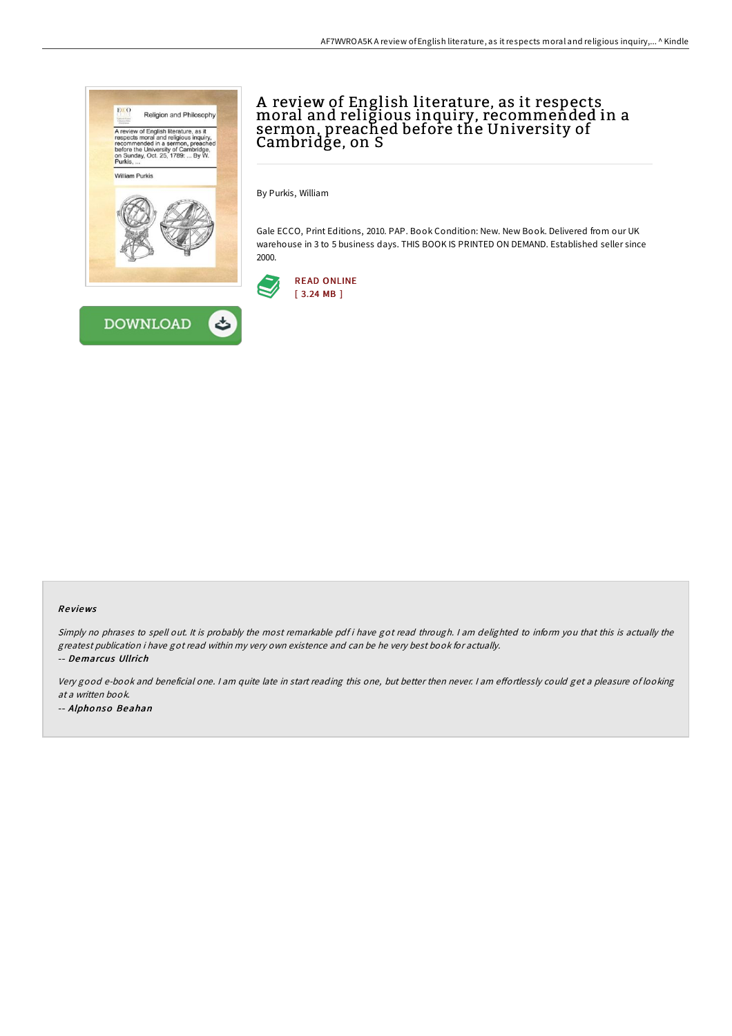

# A review of English literature, as it respects moral and religious inquiry, recommended in a sermon, preached before the University of Cambridge, on S

By Purkis, William

Gale ECCO, Print Editions, 2010. PAP. Book Condition: New. New Book. Delivered from our UK warehouse in 3 to 5 business days. THIS BOOK IS PRINTED ON DEMAND. Established seller since 2000.



#### Re views

Simply no phrases to spell out. It is probably the most remarkable pdf i have got read through. <sup>I</sup> am delighted to inform you that this is actually the greatest publication i have got read within my very own existence and can be he very best book for actually. -- Demarcus Ullrich

Very good e-book and beneficial one. I am quite late in start reading this one, but better then never. I am effortlessly could get a pleasure of looking at a written book. -- Alpho nso Beahan